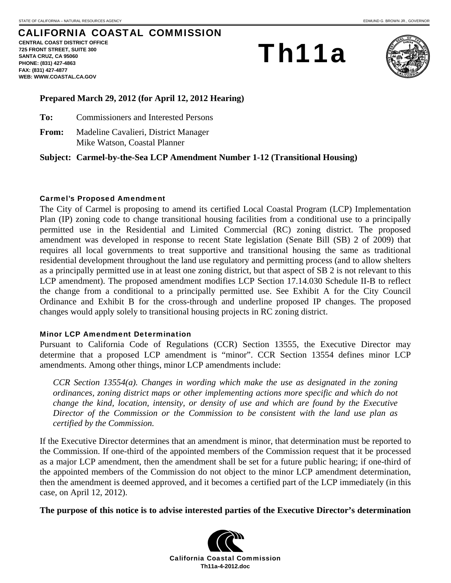# CALIFORNIA COASTAL COMMISSION

**CENTRAL COAST DISTRICT OFFICE 725 FRONT STREET, SUITE 300 SANTA CRUZ, CA 95060 PHONE: (831) 427-4863 FAX: (831) 427-4877 WEB: WWW.COASTAL.CA.GOV**

# Th11a



#### **Prepared March 29, 2012 (for April 12, 2012 Hearing)**

**To:** Commissioners and Interested Persons

**From:** Madeline Cavalieri, District Manager Mike Watson, Coastal Planner

**Subject: Carmel-by-the-Sea LCP Amendment Number 1-12 (Transitional Housing)** 

#### Carmel's Proposed Amendment

The City of Carmel is proposing to amend its certified Local Coastal Program (LCP) Implementation Plan (IP) zoning code to change transitional housing facilities from a conditional use to a principally permitted use in the Residential and Limited Commercial (RC) zoning district. The proposed amendment was developed in response to recent State legislation (Senate Bill (SB) 2 of 2009) that requires all local governments to treat supportive and transitional housing the same as traditional residential development throughout the land use regulatory and permitting process (and to allow shelters as a principally permitted use in at least one zoning district, but that aspect of SB 2 is not relevant to this LCP amendment). The proposed amendment modifies LCP Section 17.14.030 Schedule II-B to reflect the change from a conditional to a principally permitted use. See Exhibit A for the City Council Ordinance and Exhibit B for the cross-through and underline proposed IP changes. The proposed changes would apply solely to transitional housing projects in RC zoning district.

#### Minor LCP Amendment Determination

Pursuant to California Code of Regulations (CCR) Section 13555, the Executive Director may determine that a proposed LCP amendment is "minor". CCR Section 13554 defines minor LCP amendments. Among other things, minor LCP amendments include:

*CCR Section 13554(a). Changes in wording which make the use as designated in the zoning ordinances, zoning district maps or other implementing actions more specific and which do not change the kind, location, intensity, or density of use and which are found by the Executive Director of the Commission or the Commission to be consistent with the land use plan as certified by the Commission.* 

If the Executive Director determines that an amendment is minor, that determination must be reported to the Commission. If one-third of the appointed members of the Commission request that it be processed as a major LCP amendment, then the amendment shall be set for a future public hearing; if one-third of the appointed members of the Commission do not object to the minor LCP amendment determination, then the amendment is deemed approved, and it becomes a certified part of the LCP immediately (in this case, on April 12, 2012).

**The purpose of this notice is to advise interested parties of the Executive Director's determination** 

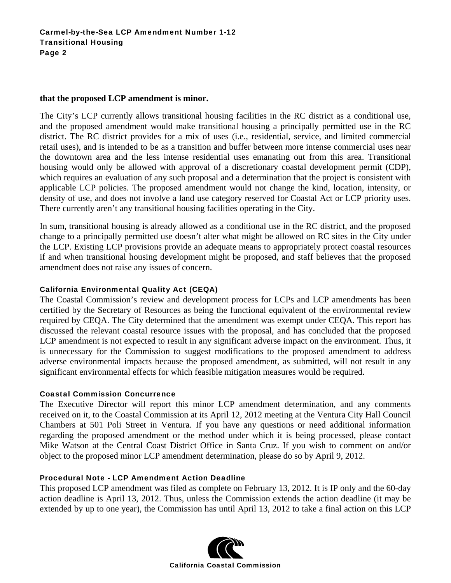#### **that the proposed LCP amendment is minor.**

The City's LCP currently allows transitional housing facilities in the RC district as a conditional use, and the proposed amendment would make transitional housing a principally permitted use in the RC district. The RC district provides for a mix of uses (i.e., residential, service, and limited commercial retail uses), and is intended to be as a transition and buffer between more intense commercial uses near the downtown area and the less intense residential uses emanating out from this area. Transitional housing would only be allowed with approval of a discretionary coastal development permit (CDP), which requires an evaluation of any such proposal and a determination that the project is consistent with applicable LCP policies. The proposed amendment would not change the kind, location, intensity, or density of use, and does not involve a land use category reserved for Coastal Act or LCP priority uses. There currently aren't any transitional housing facilities operating in the City.

In sum, transitional housing is already allowed as a conditional use in the RC district, and the proposed change to a principally permitted use doesn't alter what might be allowed on RC sites in the City under the LCP. Existing LCP provisions provide an adequate means to appropriately protect coastal resources if and when transitional housing development might be proposed, and staff believes that the proposed amendment does not raise any issues of concern.

#### California Environmental Quality Act (CEQA)

The Coastal Commission's review and development process for LCPs and LCP amendments has been certified by the Secretary of Resources as being the functional equivalent of the environmental review required by CEQA. The City determined that the amendment was exempt under CEQA. This report has discussed the relevant coastal resource issues with the proposal, and has concluded that the proposed LCP amendment is not expected to result in any significant adverse impact on the environment. Thus, it is unnecessary for the Commission to suggest modifications to the proposed amendment to address adverse environmental impacts because the proposed amendment, as submitted, will not result in any significant environmental effects for which feasible mitigation measures would be required.

#### Coastal Commission Concurrence

The Executive Director will report this minor LCP amendment determination, and any comments received on it, to the Coastal Commission at its April 12, 2012 meeting at the Ventura City Hall Council Chambers at 501 Poli Street in Ventura. If you have any questions or need additional information regarding the proposed amendment or the method under which it is being processed, please contact Mike Watson at the Central Coast District Office in Santa Cruz. If you wish to comment on and/or object to the proposed minor LCP amendment determination, please do so by April 9, 2012.

#### Procedural Note - LCP Amendment Action Deadline

This proposed LCP amendment was filed as complete on February 13, 2012. It is IP only and the 60-day action deadline is April 13, 2012. Thus, unless the Commission extends the action deadline (it may be extended by up to one year), the Commission has until April 13, 2012 to take a final action on this LCP

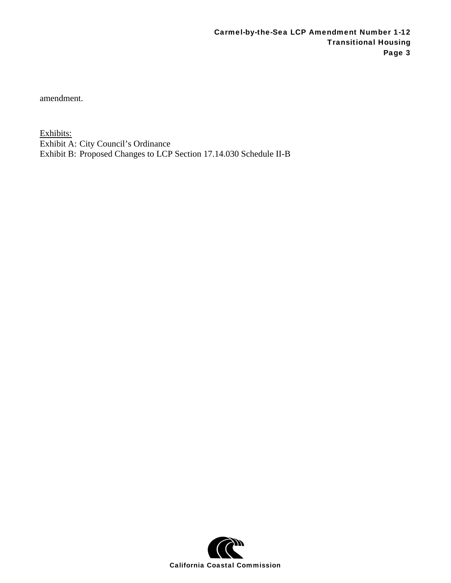amendment.

Exhibits: Exhibit A: City Council's Ordinance Exhibit B: Proposed Changes to LCP Section 17.14.030 Schedule II-B

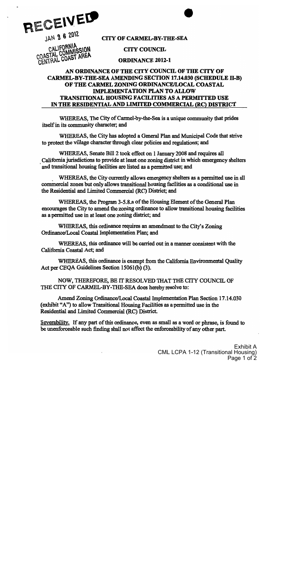

**CITY OF CARMEL-BY-THE-SEA** 

**CITY COUNCIL** 

CALIFORNIA<br>CALIFORNIA<br>COASTAL COMMISSION CENTRAL COAST AREA

## **ORDINANCE 2012-1**

## AN ORDINANCE OF THE CITY COUNCIL OF THE CITY OF **CARMEL-BY-THE-SEA AMENDING SECTION 17.14.030 (SCHEDULE II-B)** OF THE CARMEL ZONING ORDINANCE/LOCAL COASTAL **IMPLEMENTATION PLAN TO ALLOW TRANSITIONAL HOUSING FACILITIES AS A PERMITTED USE** IN THE RESIDENTIAL AND LIMITED COMMERCIAL (RC) DISTRICT

WHEREAS, The City of Carmel-by-the-Sea is a unique community that prides itself in its community character; and

WHEREAS, the City has adopted a General Plan and Municipal Code that strive to protect the village character through clear policies and regulations; and

WHEREAS, Senate Bill 2 took effect on 1 January 2008 and requires all California jurisdictions to provide at least one zoning district in which emergency shelters and transitional housing facilities are listed as a permitted use; and

WHEREAS, the City currently allows emergency shelters as a permitted use in all commercial zones but only allows transitional housing facilities as a conditional use in the Residential and Limited Commercial (RC) District; and

WHEREAS, the Program 3-5.8.a of the Housing Element of the General Plan encourages the City to amend the zoning ordinance to allow transitional housing facilities as a permitted use in at least one zoning district; and

WHEREAS, this ordinance requires an amendment to the City's Zoning Ordinance/Local Coastal Implementation Plan; and

WHEREAS, this ordinance will be carried out in a manner consistent with the California Coastal Act; and

WHEREAS, this ordinance is exempt from the California Environmental Ouality Act per CEQA Guidelines Section 15061(b) (3).

NOW, THEREFORE, BE IT RESOLVED THAT THE CITY COUNCIL OF THE CITY OF CARMEL-BY-THE-SEA does hereby resolve to:

Amend Zoning Ordinance/Local Coastal Implementation Plan Section 17.14.030 (exhibit "A") to allow Transitional Housing Facilities as a permitted use in the Residential and Limited Commercial (RC) District.

Severability. If any part of this ordinance, even as small as a word or phrase, is found to be unenforceable such finding shall not affect the enforceability of any other part.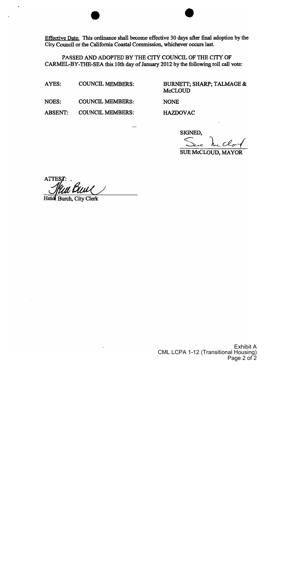Effective Date. This ordinance shall become effective 30 days after final adoption by the City Council or the California Coastal Commission, whichever occurs last.

PASSED AND ADOPTED BY THE CITY COUNCIL OF THE CITY OF CARMEL-BY-THE-SEA this 10th day of January 2012 by the following roll call vote:

AYES: **COUNCIL MEMBERS:**  **BURNETT; SHARP; TALMAGE & McCLOUD** 

**NOES: COUNCIL MEMBERS:** 

**HAZDOVAC** 

**NONE** 

**COUNCIL MEMBERS:** 

SIGNED,

**SUE McCLOUD, MAYOR** 

**ATTES** 

Heidi Burch, City Clerk

**ABSENT:**